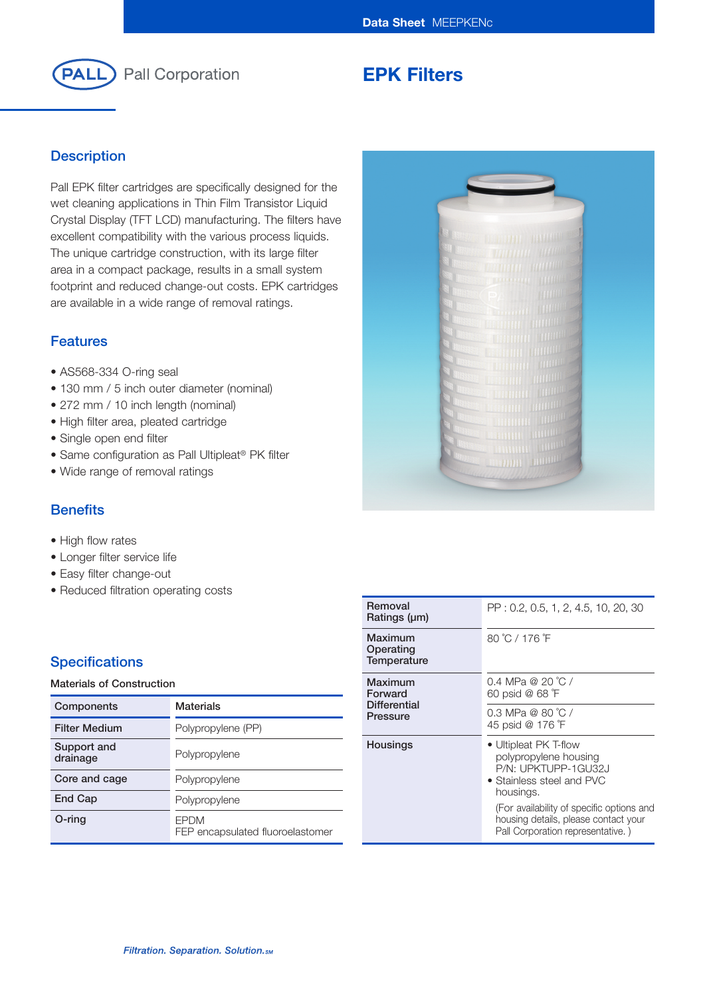

# **EPK Filters**

### **Description**

Pall EPK filter cartridges are specifically designed for the wet cleaning applications in Thin Film Transistor Liquid Crystal Display (TFT LCD) manufacturing. The filters have excellent compatibility with the various process liquids. The unique cartridge construction, with its large filter area in a compact package, results in a small system footprint and reduced change-out costs. EPK cartridges are available in a wide range of removal ratings.

### **Features**

- AS568-334 O-ring seal
- 130 mm / 5 inch outer diameter (nominal)
- 272 mm / 10 inch length (nominal)
- High filter area, pleated cartridge
- Single open end filter
- Same configuration as Pall Ultipleat® PK filter
- Wide range of removal ratings

## **Benefits**

- High flow rates
- Longer filter service life
- Easy filter change-out
- Reduced filtration operating costs

### **Specifications**

#### **Materials of Construction**

| Components              | <b>Materials</b>                                |  |
|-------------------------|-------------------------------------------------|--|
| <b>Filter Medium</b>    | Polypropylene (PP)                              |  |
| Support and<br>drainage | Polypropylene                                   |  |
| Core and cage           | Polypropylene                                   |  |
| <b>End Cap</b>          | Polypropylene                                   |  |
| O-ring                  | <b>FPDM</b><br>FEP encapsulated fluoroelastomer |  |

| Removal<br>Ratings (µm)                               |
|-------------------------------------------------------|
| Maximum<br>Operating<br>Temperature                   |
| Maximum<br>Forward<br><b>Differential</b><br>Pressure |
|                                                       |
|                                                       |